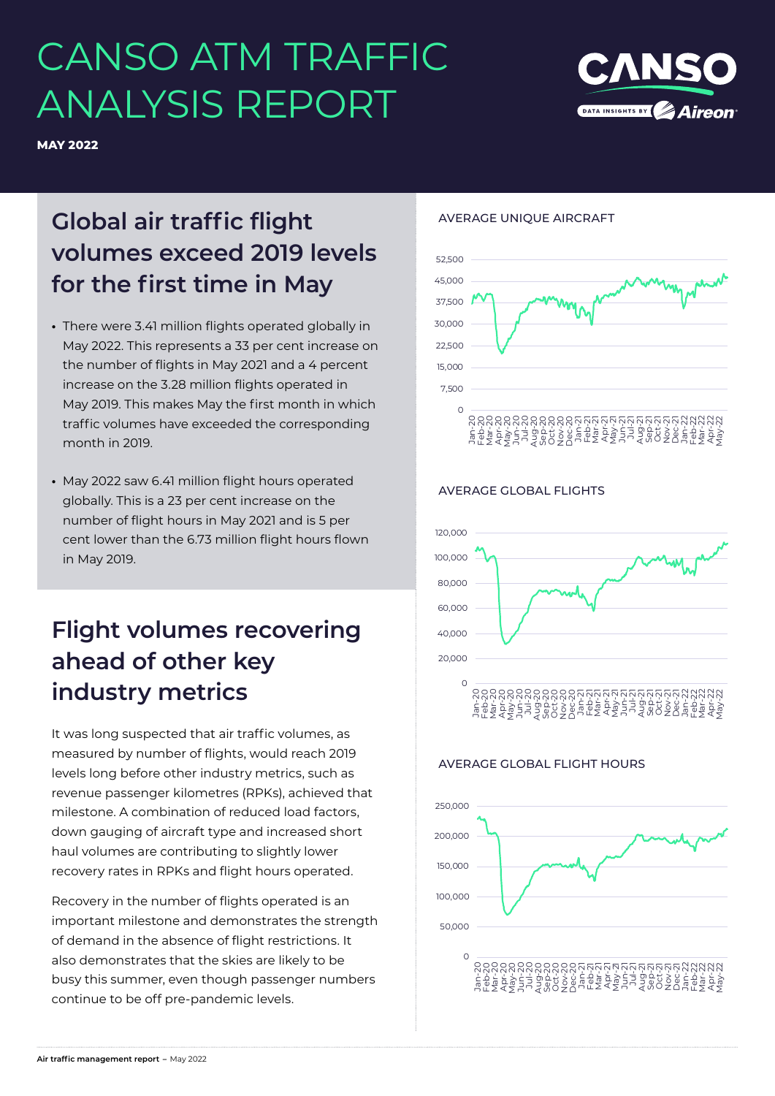# CANSO ATM TRAFFIC ANALYSIS REPORT



**MAY 2022**

# **Global air traffic flight volumes exceed 2019 levels for the first time in May**

- **•** There were 3.41 million flights operated globally in May 2022. This represents a 33 per cent increase on the number of flights in May 2021 and a 4 percent increase on the 3.28 million flights operated in May 2019. This makes May the first month in which traffic volumes have exceeded the corresponding month in 2019.
- **•** May 2022 saw 6.41 million flight hours operated globally. This is a 23 per cent increase on the number of flight hours in May 2021 and is 5 per cent lower than the 6.73 million flight hours flown in May 2019.

## **Flight volumes recovering ahead of other key industry metrics**

It was long suspected that air traffic volumes, as measured by number of flights, would reach 2019 levels long before other industry metrics, such as revenue passenger kilometres (RPKs), achieved that milestone. A combination of reduced load factors, down gauging of aircraft type and increased short haul volumes are contributing to slightly lower recovery rates in RPKs and flight hours operated.

Recovery in the number of flights operated is an important milestone and demonstrates the strength of demand in the absence of flight restrictions. It also demonstrates that the skies are likely to be busy this summer, even though passenger numbers continue to be off pre-pandemic levels.

#### AVERAGE UNIQUE AIRCRAFT



### AVERAGE GLOBAL FLIGHTS



### AVERAGE GLOBAL FLIGHT HOURS

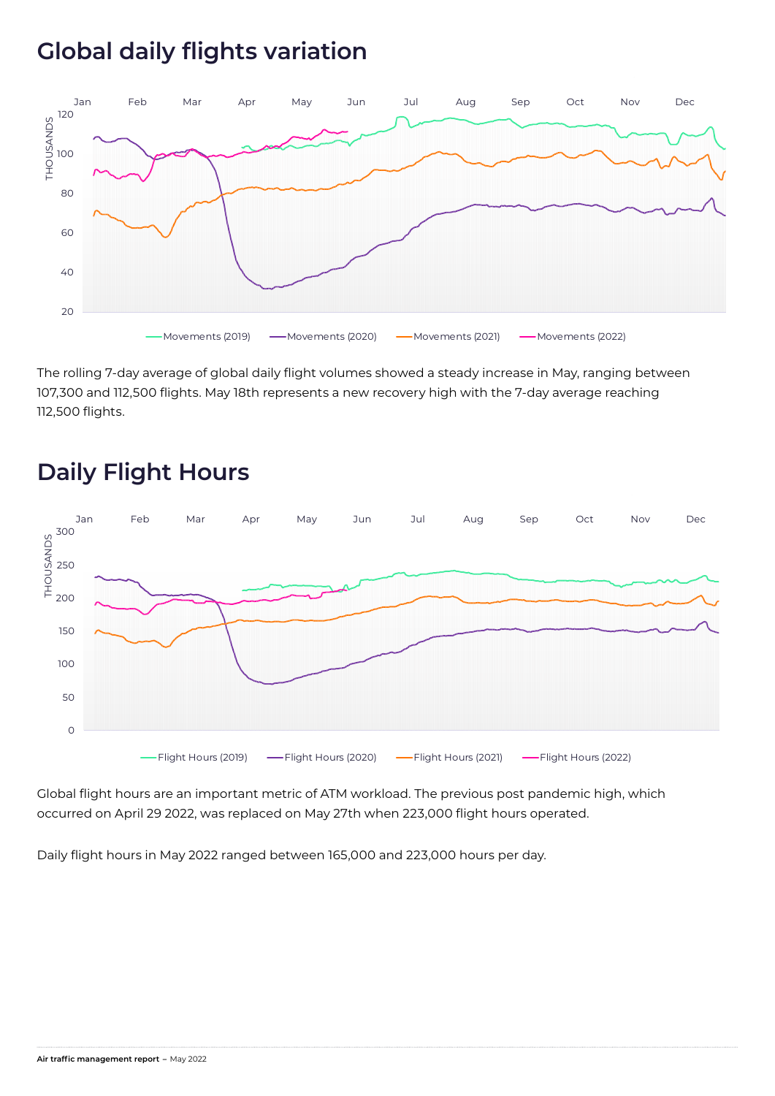### **Global daily flights variation**



The rolling 7-day average of global daily flight volumes showed a steady increase in May, ranging between 107,300 and 112,500 flights. May 18th represents a new recovery high with the 7-day average reaching 112,500 flights.



### **Daily Flight Hours**

Global flight hours are an important metric of ATM workload. The previous post pandemic high, which occurred on April 29 2022, was replaced on May 27th when 223,000 flight hours operated.

Daily flight hours in May 2022 ranged between 165,000 and 223,000 hours per day.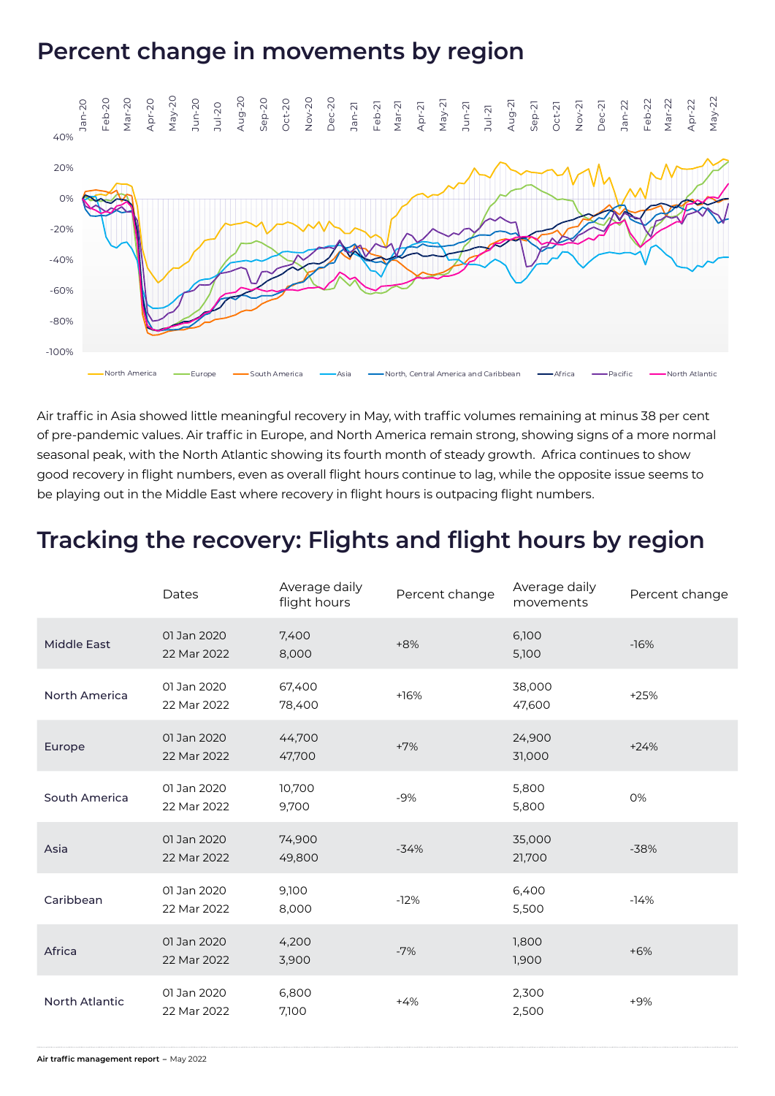### **Percent change in movements by region**



Air traffic in Asia showed little meaningful recovery in May, with traffic volumes remaining at minus 38 per cent of pre-pandemic values. Air traffic in Europe, and North America remain strong, showing signs of a more normal seasonal peak, with the North Atlantic showing its fourth month of steady growth. Africa continues to show good recovery in flight numbers, even as overall flight hours continue to lag, while the opposite issue seems to be playing out in the Middle East where recovery in flight hours is outpacing flight numbers.

### **Tracking the recovery: Flights and flight hours by region**

|                    | Dates                      | Average daily<br>flight hours | Percent change | Average daily<br>movements | Percent change |
|--------------------|----------------------------|-------------------------------|----------------|----------------------------|----------------|
| <b>Middle East</b> | 01 Jan 2020<br>22 Mar 2022 | 7,400<br>8,000                | $+8%$          | 6,100<br>5,100             | $-16%$         |
| North America      | 01 Jan 2020<br>22 Mar 2022 | 67,400<br>78,400              | $+16%$         | 38,000<br>47,600           | $+25%$         |
| Europe             | 01 Jan 2020<br>22 Mar 2022 | 44,700<br>47,700              | $+7%$          | 24,900<br>31,000           | $+24%$         |
| South America      | 01 Jan 2020<br>22 Mar 2022 | 10,700<br>9,700               | $-9%$          | 5,800<br>5,800             | 0%             |
| Asia               | 01 Jan 2020<br>22 Mar 2022 | 74,900<br>49,800              | $-34%$         | 35,000<br>21,700           | $-38%$         |
| Caribbean          | 01 Jan 2020<br>22 Mar 2022 | 9,100<br>8,000                | $-12%$         | 6,400<br>5,500             | $-14%$         |
| Africa             | 01 Jan 2020<br>22 Mar 2022 | 4,200<br>3,900                | $-7%$          | 1,800<br>1,900             | $+6%$          |
| North Atlantic     | 01 Jan 2020<br>22 Mar 2022 | 6,800<br>7,100                | $+4%$          | 2,300<br>2,500             | $+9%$          |